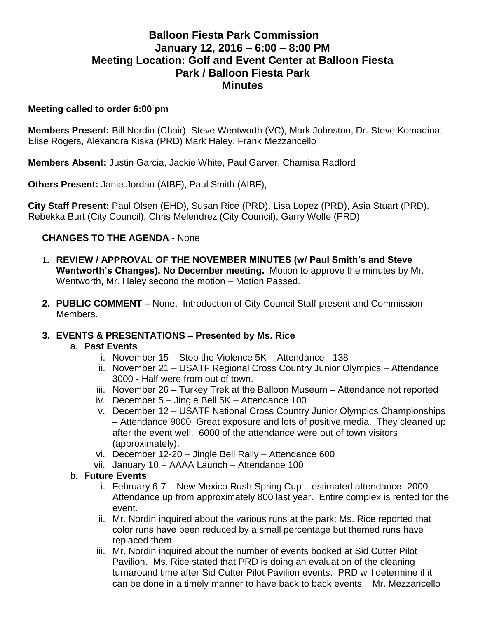# **Balloon Fiesta Park Commission January 12, 2016 – 6:00 – 8:00 PM Meeting Location: Golf and Event Center at Balloon Fiesta Park / Balloon Fiesta Park Minutes**

#### **Meeting called to order 6:00 pm**

**Members Present:** Bill Nordin (Chair), Steve Wentworth (VC), Mark Johnston, Dr. Steve Komadina, Elise Rogers, Alexandra Kiska (PRD) Mark Haley, Frank Mezzancello

**Members Absent:** Justin Garcia, Jackie White, Paul Garver, Chamisa Radford

**Others Present:** Janie Jordan (AIBF), Paul Smith (AIBF),

**City Staff Present:** Paul Olsen (EHD), Susan Rice (PRD), Lisa Lopez (PRD), Asia Stuart (PRD), Rebekka Burt (City Council), Chris Melendrez (City Council), Garry Wolfe (PRD)

## **CHANGES TO THE AGENDA -** None

- **1. REVIEW / APPROVAL OF THE NOVEMBER MINUTES (w/ Paul Smith's and Steve Wentworth's Changes), No December meeting.** Motion to approve the minutes by Mr. Wentworth, Mr. Haley second the motion – Motion Passed.
- **2. PUBLIC COMMENT –** None.Introduction of City Council Staff present and Commission Members.

### **3. EVENTS & PRESENTATIONS – Presented by Ms. Rice**

### a. **Past Events**

- i. November 15 Stop the Violence 5K Attendance 138
- ii. November 21 USATF Regional Cross Country Junior Olympics Attendance 3000 - Half were from out of town.
- iii. November 26 Turkey Trek at the Balloon Museum Attendance not reported
- iv. December 5 Jingle Bell 5K Attendance 100
- v. December 12 USATF National Cross Country Junior Olympics Championships – Attendance 9000 Great exposure and lots of positive media. They cleaned up after the event well. 6000 of the attendance were out of town visitors (approximately).
- vi. December 12-20 Jingle Bell Rally Attendance 600
- vii. January 10 AAAA Launch Attendance 100

### b. **Future Events**

- i. February 6-7 New Mexico Rush Spring Cup estimated attendance- 2000 Attendance up from approximately 800 last year. Entire complex is rented for the event.
- ii. Mr. Nordin inquired about the various runs at the park: Ms. Rice reported that color runs have been reduced by a small percentage but themed runs have replaced them.
- iii. Mr. Nordin inquired about the number of events booked at Sid Cutter Pilot Pavilion. Ms. Rice stated that PRD is doing an evaluation of the cleaning turnaround time after Sid Cutter Pilot Pavilion events. PRD will determine if it can be done in a timely manner to have back to back events. Mr. Mezzancello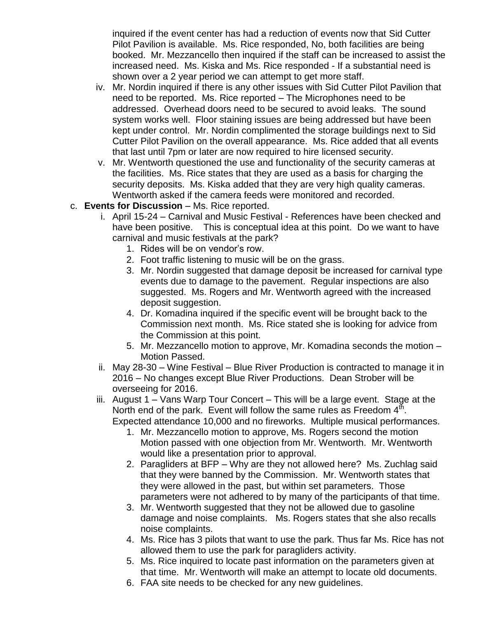inquired if the event center has had a reduction of events now that Sid Cutter Pilot Pavilion is available. Ms. Rice responded, No, both facilities are being booked. Mr. Mezzancello then inquired if the staff can be increased to assist the increased need. Ms. Kiska and Ms. Rice responded - If a substantial need is shown over a 2 year period we can attempt to get more staff.

- iv. Mr. Nordin inquired if there is any other issues with Sid Cutter Pilot Pavilion that need to be reported. Ms. Rice reported – The Microphones need to be addressed. Overhead doors need to be secured to avoid leaks. The sound system works well. Floor staining issues are being addressed but have been kept under control. Mr. Nordin complimented the storage buildings next to Sid Cutter Pilot Pavilion on the overall appearance. Ms. Rice added that all events that last until 7pm or later are now required to hire licensed security.
- v. Mr. Wentworth questioned the use and functionality of the security cameras at the facilities. Ms. Rice states that they are used as a basis for charging the security deposits. Ms. Kiska added that they are very high quality cameras. Wentworth asked if the camera feeds were monitored and recorded.
- c. **Events for Discussion** Ms. Rice reported.
	- i. April 15-24 Carnival and Music Festival References have been checked and have been positive. This is conceptual idea at this point. Do we want to have carnival and music festivals at the park?
		- 1. Rides will be on vendor's row.
		- 2. Foot traffic listening to music will be on the grass.
		- 3. Mr. Nordin suggested that damage deposit be increased for carnival type events due to damage to the pavement. Regular inspections are also suggested. Ms. Rogers and Mr. Wentworth agreed with the increased deposit suggestion.
		- 4. Dr. Komadina inquired if the specific event will be brought back to the Commission next month. Ms. Rice stated she is looking for advice from the Commission at this point.
		- 5. Mr. Mezzancello motion to approve, Mr. Komadina seconds the motion Motion Passed.
	- ii. May 28-30 Wine Festival Blue River Production is contracted to manage it in 2016 – No changes except Blue River Productions. Dean Strober will be overseeing for 2016.
	- iii. August 1 Vans Warp Tour Concert This will be a large event. Stage at the North end of the park. Event will follow the same rules as Freedom  $4^{\text{th}}$ . Expected attendance 10,000 and no fireworks. Multiple musical performances.
		- 1. Mr. Mezzancello motion to approve, Ms. Rogers second the motion Motion passed with one objection from Mr. Wentworth. Mr. Wentworth would like a presentation prior to approval.
		- 2. Paragliders at BFP Why are they not allowed here? Ms. Zuchlag said that they were banned by the Commission. Mr. Wentworth states that they were allowed in the past, but within set parameters. Those parameters were not adhered to by many of the participants of that time.
		- 3. Mr. Wentworth suggested that they not be allowed due to gasoline damage and noise complaints. Ms. Rogers states that she also recalls noise complaints.
		- 4. Ms. Rice has 3 pilots that want to use the park. Thus far Ms. Rice has not allowed them to use the park for paragliders activity.
		- 5. Ms. Rice inquired to locate past information on the parameters given at that time. Mr. Wentworth will make an attempt to locate old documents.
		- 6. FAA site needs to be checked for any new guidelines.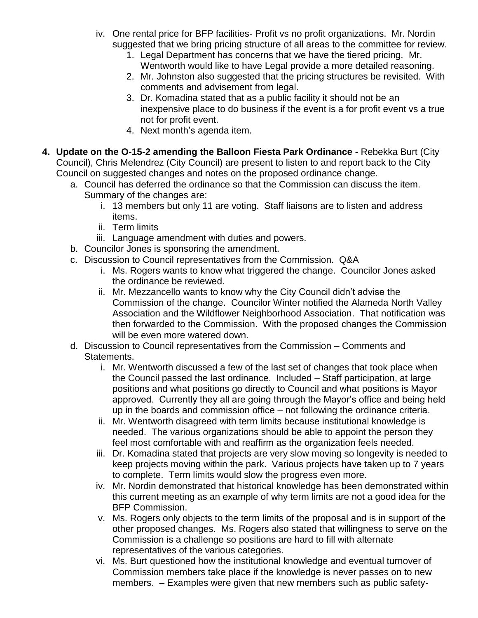- iv. One rental price for BFP facilities- Profit vs no profit organizations. Mr. Nordin suggested that we bring pricing structure of all areas to the committee for review.
	- 1. Legal Department has concerns that we have the tiered pricing. Mr. Wentworth would like to have Legal provide a more detailed reasoning.
	- 2. Mr. Johnston also suggested that the pricing structures be revisited. With comments and advisement from legal.
	- 3. Dr. Komadina stated that as a public facility it should not be an inexpensive place to do business if the event is a for profit event vs a true not for profit event.
	- 4. Next month's agenda item.
- **4. Update on the O-15-2 amending the Balloon Fiesta Park Ordinance -** Rebekka Burt (City Council), Chris Melendrez (City Council) are present to listen to and report back to the City Council on suggested changes and notes on the proposed ordinance change.
	- a. Council has deferred the ordinance so that the Commission can discuss the item. Summary of the changes are:
		- i. 13 members but only 11 are voting. Staff liaisons are to listen and address items.
		- ii. Term limits
		- iii. Language amendment with duties and powers.
	- b. Councilor Jones is sponsoring the amendment.
	- c. Discussion to Council representatives from the Commission. Q&A
		- i. Ms. Rogers wants to know what triggered the change. Councilor Jones asked the ordinance be reviewed.
		- ii. Mr. Mezzancello wants to know why the City Council didn't advise the Commission of the change. Councilor Winter notified the Alameda North Valley Association and the Wildflower Neighborhood Association. That notification was then forwarded to the Commission. With the proposed changes the Commission will be even more watered down.
	- d. Discussion to Council representatives from the Commission Comments and Statements.
		- i. Mr. Wentworth discussed a few of the last set of changes that took place when the Council passed the last ordinance. Included – Staff participation, at large positions and what positions go directly to Council and what positions is Mayor approved. Currently they all are going through the Mayor's office and being held up in the boards and commission office – not following the ordinance criteria.
		- ii. Mr. Wentworth disagreed with term limits because institutional knowledge is needed. The various organizations should be able to appoint the person they feel most comfortable with and reaffirm as the organization feels needed.
		- iii. Dr. Komadina stated that projects are very slow moving so longevity is needed to keep projects moving within the park. Various projects have taken up to 7 years to complete. Term limits would slow the progress even more.
		- iv. Mr. Nordin demonstrated that historical knowledge has been demonstrated within this current meeting as an example of why term limits are not a good idea for the BFP Commission.
		- v. Ms. Rogers only objects to the term limits of the proposal and is in support of the other proposed changes. Ms. Rogers also stated that willingness to serve on the Commission is a challenge so positions are hard to fill with alternate representatives of the various categories.
		- vi. Ms. Burt questioned how the institutional knowledge and eventual turnover of Commission members take place if the knowledge is never passes on to new members. – Examples were given that new members such as public safety-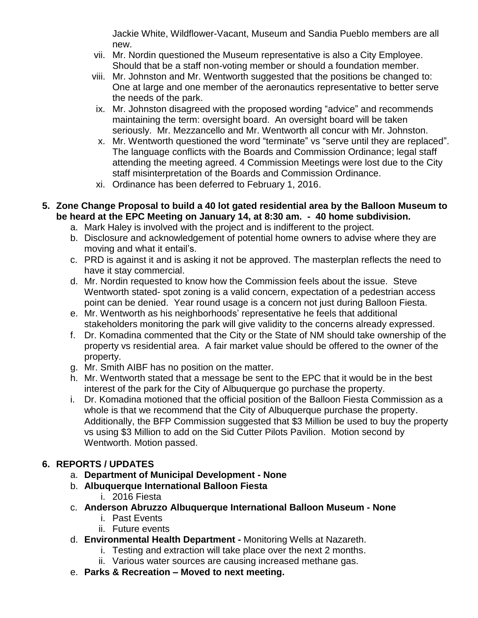Jackie White, Wildflower-Vacant, Museum and Sandia Pueblo members are all new.

- vii. Mr. Nordin questioned the Museum representative is also a City Employee. Should that be a staff non-voting member or should a foundation member.
- viii. Mr. Johnston and Mr. Wentworth suggested that the positions be changed to: One at large and one member of the aeronautics representative to better serve the needs of the park.
- ix. Mr. Johnston disagreed with the proposed wording "advice" and recommends maintaining the term: oversight board. An oversight board will be taken seriously. Mr. Mezzancello and Mr. Wentworth all concur with Mr. Johnston.
- x. Mr. Wentworth questioned the word "terminate" vs "serve until they are replaced". The language conflicts with the Boards and Commission Ordinance; legal staff attending the meeting agreed. 4 Commission Meetings were lost due to the City staff misinterpretation of the Boards and Commission Ordinance.
- xi. Ordinance has been deferred to February 1, 2016.
- **5. Zone Change Proposal to build a 40 lot gated residential area by the Balloon Museum to be heard at the EPC Meeting on January 14, at 8:30 am. - 40 home subdivision.** 
	- a. Mark Haley is involved with the project and is indifferent to the project.
	- b. Disclosure and acknowledgement of potential home owners to advise where they are moving and what it entail's.
	- c. PRD is against it and is asking it not be approved. The masterplan reflects the need to have it stay commercial.
	- d. Mr. Nordin requested to know how the Commission feels about the issue. Steve Wentworth stated- spot zoning is a valid concern, expectation of a pedestrian access point can be denied. Year round usage is a concern not just during Balloon Fiesta.
	- e. Mr. Wentworth as his neighborhoods' representative he feels that additional stakeholders monitoring the park will give validity to the concerns already expressed.
	- f. Dr. Komadina commented that the City or the State of NM should take ownership of the property vs residential area. A fair market value should be offered to the owner of the property.
	- g. Mr. Smith AIBF has no position on the matter.
	- h. Mr. Wentworth stated that a message be sent to the EPC that it would be in the best interest of the park for the City of Albuquerque go purchase the property.
	- i. Dr. Komadina motioned that the official position of the Balloon Fiesta Commission as a whole is that we recommend that the City of Albuquerque purchase the property. Additionally, the BFP Commission suggested that \$3 Million be used to buy the property vs using \$3 Million to add on the Sid Cutter Pilots Pavilion. Motion second by Wentworth. Motion passed.

# **6. REPORTS / UPDATES**

- a. **Department of Municipal Development - None**
- b. **Albuquerque International Balloon Fiesta**
	- i. 2016 Fiesta
- c. **Anderson Abruzzo Albuquerque International Balloon Museum - None**
	- i. Past Events
	- ii. Future events
- d. **Environmental Health Department -** Monitoring Wells at Nazareth.
	- i. Testing and extraction will take place over the next 2 months.
		- ii. Various water sources are causing increased methane gas.
- e. **Parks & Recreation – Moved to next meeting.**